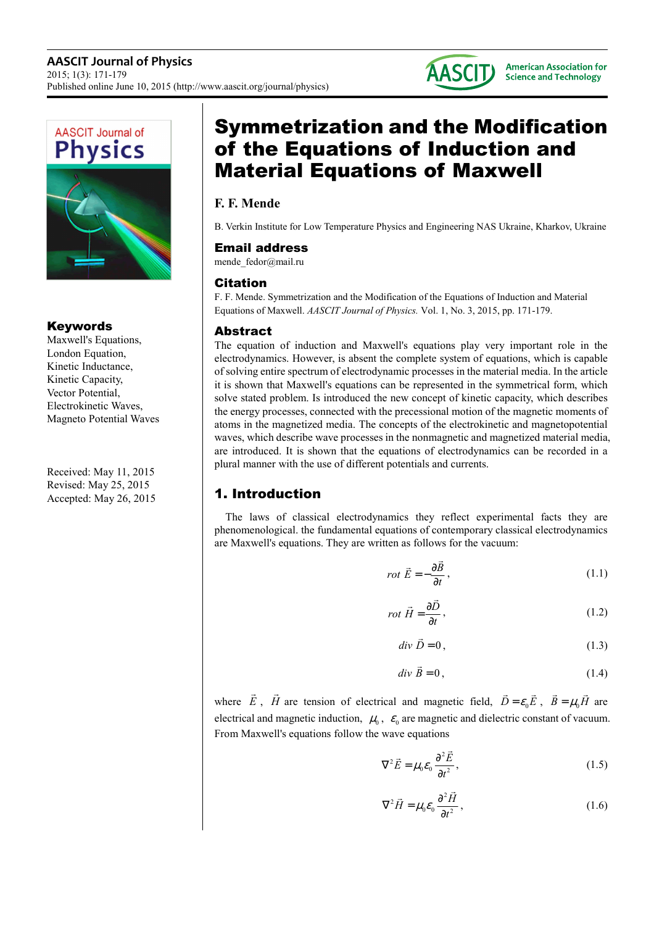



## Keywords

Maxwell's Equations, London Equation, Kinetic Inductance, Kinetic Capacity, Vector Potential, Electrokinetic Waves, Magneto Potential Waves

Received: May 11, 2015 Revised: May 25, 2015 Accepted: May 26, 2015

# Symmetrization and the Modification of the Equations of Induction and Material Equations of Maxwell

## **F. F. Mende**

B. Verkin Institute for Low Temperature Physics and Engineering NAS Ukraine, Kharkov, Ukraine

### Email address

mende\_fedor@mail.ru

## Citation

F. F. Mende. Symmetrization and the Modification of the Equations of Induction and Material Equations of Maxwell. *AASCIT Journal of Physics.* Vol. 1, No. 3, 2015, pp. 171-179.

## Abstract

The equation of induction and Maxwell's equations play very important role in the electrodynamics. However, is absent the complete system of equations, which is capable of solving entire spectrum of electrodynamic processes in the material media. In the article it is shown that Maxwell's equations can be represented in the symmetrical form, which solve stated problem. Is introduced the new concept of kinetic capacity, which describes the energy processes, connected with the precessional motion of the magnetic moments of atoms in the magnetized media. The concepts of the electrokinetic and magnetopotential waves, which describe wave processes in the nonmagnetic and magnetized material media, are introduced. It is shown that the equations of electrodynamics can be recorded in a plural manner with the use of different potentials and currents.

# 1. Introduction

The laws of classical electrodynamics they reflect experimental facts they are phenomenological. the fundamental equations of contemporary classical electrodynamics are Maxwell's equations. They are written as follows for the vacuum:

$$
rot \vec{E} = -\frac{\partial \vec{B}}{\partial t},
$$
\n(1.1)

$$
rot \ \vec{H} = \frac{\partial \vec{D}}{\partial t},\tag{1.2}
$$

$$
div \ \vec{D} = 0, \tag{1.3}
$$

$$
div \ \vec{B} = 0 \,, \tag{1.4}
$$

where *E*  $\overline{\phantom{a}}$ , *H*  $\overline{\phantom{a}}$ are tension of electrical and magnetic field,  $D = \varepsilon_0 E$  $\overline{a}$  $B = \mu_0 H$  $\overline{a}$ are electrical and magnetic induction,  $\mu_0$ ,  $\varepsilon_0$  are magnetic and dielectric constant of vacuum. From Maxwell's equations follow the wave equations

$$
\nabla^2 \vec{E} = \mu_0 \varepsilon_0 \frac{\partial^2 \vec{E}}{\partial t^2},
$$
\n(1.5)

$$
\nabla^2 \vec{H} = \mu_0 \varepsilon_0 \frac{\partial^2 \vec{H}}{\partial t^2},
$$
\n(1.6)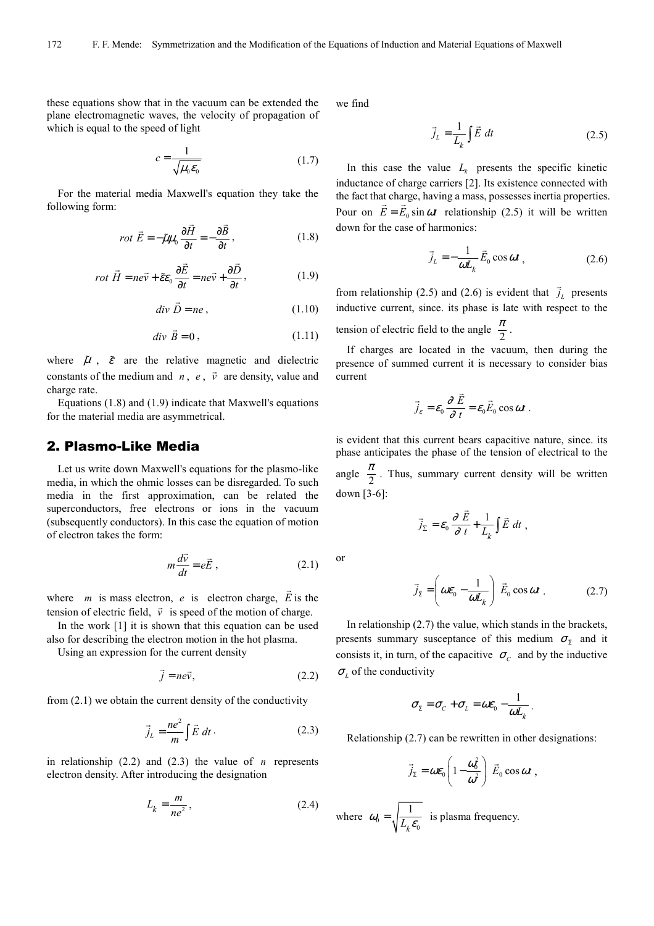these equations show that in the vacuum can be extended the plane electromagnetic waves, the velocity of propagation of which is equal to the speed of light

$$
c = \frac{1}{\sqrt{\mu_0 \varepsilon_0}}\tag{1.7}
$$

For the material media Maxwell's equation they take the following form:

$$
rot\ \vec{E} = -\tilde{\mu}\mu_0 \frac{\partial \vec{H}}{\partial t} = -\frac{\partial \vec{B}}{\partial t},\qquad(1.8)
$$

$$
rot \vec{H} = ne\vec{v} + \tilde{\varepsilon}\varepsilon_0 \frac{\partial \vec{E}}{\partial t} = ne\vec{v} + \frac{\partial \vec{D}}{\partial t},
$$
(1.9)

$$
div \ \vec{D} = ne , \qquad (1.10)
$$

$$
div \ \vec{B} = 0 \,, \tag{1.11}
$$

where  $\tilde{\mu}$ ,  $\tilde{\epsilon}$  are the relative magnetic and dielectric constants of the medium and  $n, e, \vec{v}$  are density, value and charge rate.

Equations (1.8) and (1.9) indicate that Maxwell's equations for the material media are asymmetrical.

#### 2. Plasmo-Like Media

Let us write down Maxwell's equations for the plasmo-like media, in which the ohmic losses can be disregarded. To such media in the first approximation, can be related the superconductors, free electrons or ions in the vacuum (subsequently conductors). In this case the equation of motion of electron takes the form:

$$
m\frac{d\vec{v}}{dt} = e\vec{E},\qquad(2.1)
$$

where  $m$  is mass electron,  $e$  is electron charge,  $E$  is the  $\overline{a}$ tension of electric field,  $\vec{v}$  is speed of the motion of charge.

In the work [1] it is shown that this equation can be used also for describing the electron motion in the hot plasma.

Using an expression for the current density

$$
\vec{j} = ne\vec{v},\tag{2.2}
$$

from (2.1) we obtain the current density of the conductivity

$$
\vec{j}_L = \frac{ne^2}{m} \int \vec{E} \, dt \,. \tag{2.3}
$$

in relationship  $(2.2)$  and  $(2.3)$  the value of *n* represents electron density. After introducing the designation

$$
L_k = \frac{m}{ne^2},\tag{2.4}
$$

we find

$$
\vec{j}_L = \frac{1}{L_k} \int \vec{E} \, dt \tag{2.5}
$$

In this case the value  $L_k$  presents the specific kinetic inductance of charge carriers [2]. Its existence connected with the fact that charge, having a mass, possesses inertia properties. Pour on  $E = E_0 \sin \omega t$  relationship (2.5) it will be written down for the case of harmonics:

$$
\vec{j}_L = -\frac{1}{\omega L_k} \vec{E}_0 \cos \omega t \,, \tag{2.6}
$$

.

from relationship (2.5) and (2.6) is evident that  $\vec{j}_L$  $\overline{a}$  presents inductive current, since. its phase is late with respect to the tension of electric field to the angle  $\frac{\pi}{2}$ .

If charges are located in the vacuum, then during the presence of summed current it is necessary to consider bias current

$$
\vec{j}_\varepsilon = \varepsilon_0 \frac{\partial \vec{E}}{\partial t} = \varepsilon_0 \vec{E}_0 \cos \omega t.
$$

is evident that this current bears capacitive nature, since. its phase anticipates the phase of the tension of electrical to the angle  $\frac{\pi}{2}$  $\frac{\pi}{2}$ . Thus, summary current density will be written down [3-6]:

$$
\vec{j}_{\Sigma} = \varepsilon_0 \frac{\partial \vec{E}}{\partial t} + \frac{1}{L_k} \int \vec{E} dt ,
$$

or

$$
\vec{j}_{\Sigma} = \left(\omega \varepsilon_0 - \frac{1}{\omega L_k}\right) \vec{E}_0 \cos \omega t \tag{2.7}
$$

In relationship (2.7) the value, which stands in the brackets, presents summary susceptance of this medium  $\sigma_{\Sigma}$  and it consists it, in turn, of the capacitive  $\sigma_c$  and by the inductive  $\sigma$ <sub>L</sub> of the conductivity

$$
\sigma_{\Sigma} = \sigma_{C} + \sigma_{L} = \omega \varepsilon_{0} - \frac{1}{\omega L_{k}}.
$$

Relationship (2.7) can be rewritten in other designations:

$$
\vec{j}_\Sigma = \omega \varepsilon_0 \left( 1 - \frac{\omega_0^2}{\omega^2} \right) \vec{E}_0 \cos \omega t ,
$$

where 
$$
\omega_0 = \sqrt{\frac{1}{L_k \varepsilon_0}}
$$
 is plasma frequency.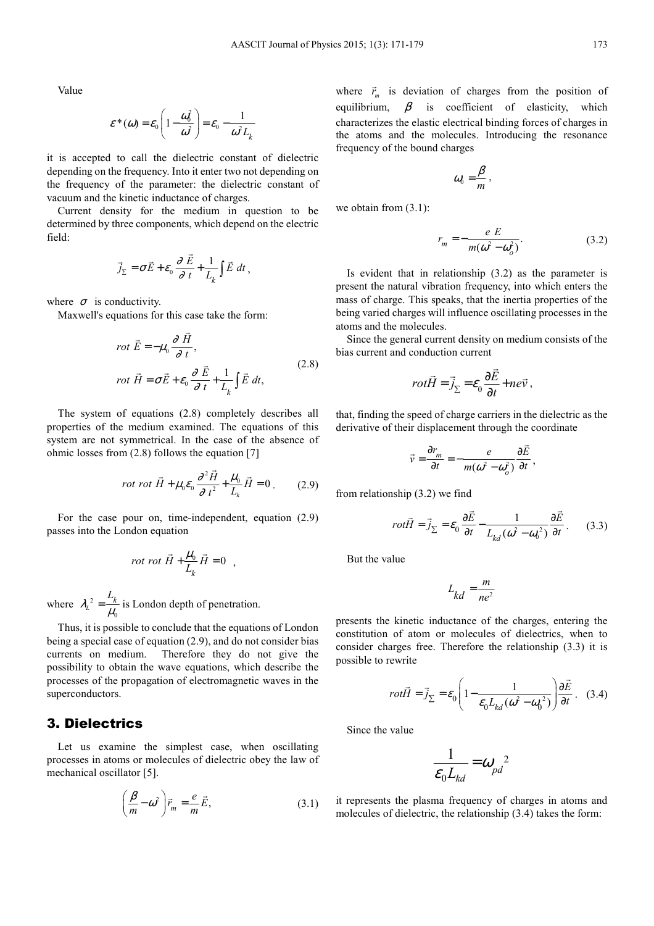Value

$$
\varepsilon^*(\omega) = \varepsilon_0 \left( 1 - \frac{\omega_0^2}{\omega^2} \right) = \varepsilon_0 - \frac{1}{\omega^2 L_k}
$$

it is accepted to call the dielectric constant of dielectric depending on the frequency. Into it enter two not depending on the frequency of the parameter: the dielectric constant of vacuum and the kinetic inductance of charges.

Current density for the medium in question to be determined by three components, which depend on the electric field:

$$
\vec{j}_{\Sigma} = \sigma \vec{E} + \varepsilon_0 \frac{\partial \vec{E}}{\partial t} + \frac{1}{L_k} \int \vec{E} dt,
$$

 $\overline{a}$ 

where  $\sigma$  is conductivity.

Maxwell's equations for this case take the form:

$$
rot \vec{E} = -\mu_0 \frac{\partial \vec{H}}{\partial t},
$$
  
\n
$$
rot \vec{H} = \sigma \vec{E} + \varepsilon_0 \frac{\partial \vec{E}}{\partial t} + \frac{1}{L_k} \int \vec{E} dt,
$$
\n(2.8)

The system of equations (2.8) completely describes all properties of the medium examined. The equations of this system are not symmetrical. In the case of the absence of ohmic losses from (2.8) follows the equation [7]

$$
rot \ \vec{H} + \mu_0 \varepsilon_0 \frac{\partial^2 \vec{H}}{\partial t^2} + \frac{\mu_0}{L_k} \vec{H} = 0 \ . \tag{2.9}
$$

For the case pour on, time-independent, equation (2.9) passes into the London equation

$$
rot\ rot\ \vec{H} + \frac{\mu_0}{L_k}\vec{H} = 0 \ ,
$$

where  $\lambda_L^2$  $\lambda_L^2 = \frac{L_k}{\mu_0}$  $=\frac{k}{\mu_0}$  is London depth of penetration.

Thus, it is possible to conclude that the equations of London being a special case of equation (2.9), and do not consider bias currents on medium. Therefore they do not give the possibility to obtain the wave equations, which describe the processes of the propagation of electromagnetic waves in the superconductors.

## 3. Dielectrics

Let us examine the simplest case, when oscillating processes in atoms or molecules of dielectric obey the law of mechanical oscillator [5].

$$
\left(\frac{\beta}{m} - \omega^2\right)\vec{r}_m = \frac{e}{m}\vec{E},\tag{3.1}
$$

where  $\vec{r}_m$  is deviation of charges from the position of equilibrium,  $\beta$  is coefficient of elasticity, which characterizes the elastic electrical binding forces of charges in the atoms and the molecules. Introducing the resonance frequency of the bound charges

$$
\omega_{0}=\frac{\beta}{m}\,,
$$

we obtain from (3.1):

$$
r_m = -\frac{e \ E}{m(\omega^2 - \omega_o^2)}.
$$
 (3.2)

Is evident that in relationship (3.2) as the parameter is present the natural vibration frequency, into which enters the mass of charge. This speaks, that the inertia properties of the being varied charges will influence oscillating processes in the atoms and the molecules.

Since the general current density on medium consists of the bias current and conduction current

$$
rot\vec{H} = \vec{j}_{\Sigma} = \varepsilon_0 \frac{\partial \vec{E}}{\partial t} + ne\vec{v},
$$

that, finding the speed of charge carriers in the dielectric as the derivative of their displacement through the coordinate

$$
\vec{v} = \frac{\partial r_m}{\partial t} = -\frac{e}{m(\omega^2 - \omega_o^2)} \frac{\partial \vec{E}}{\partial t},
$$

from relationship (3.2) we find

$$
rot\vec{H} = \vec{j}_{\Sigma} = \varepsilon_0 \frac{\partial \vec{E}}{\partial t} - \frac{1}{L_{kd} (\omega^2 - \omega_0^2)} \frac{\partial \vec{E}}{\partial t}.
$$
 (3.3)

But the value

$$
L_{kd} = \frac{m}{ne^2}
$$

presents the kinetic inductance of the charges, entering the constitution of atom or molecules of dielectrics, when to consider charges free. Therefore the relationship (3.3) it is possible to rewrite

$$
rot\vec{H} = \vec{j}_{\Sigma} = \varepsilon_0 \left( 1 - \frac{1}{\varepsilon_0 L_{kd} (\omega^2 - \omega_0^2)} \right) \frac{\partial \vec{E}}{\partial t} \,. \tag{3.4}
$$

Since the value

$$
\frac{1}{\varepsilon_0 L_{kd}} = \omega_{pd}^2
$$

it represents the plasma frequency of charges in atoms and molecules of dielectric, the relationship (3.4) takes the form: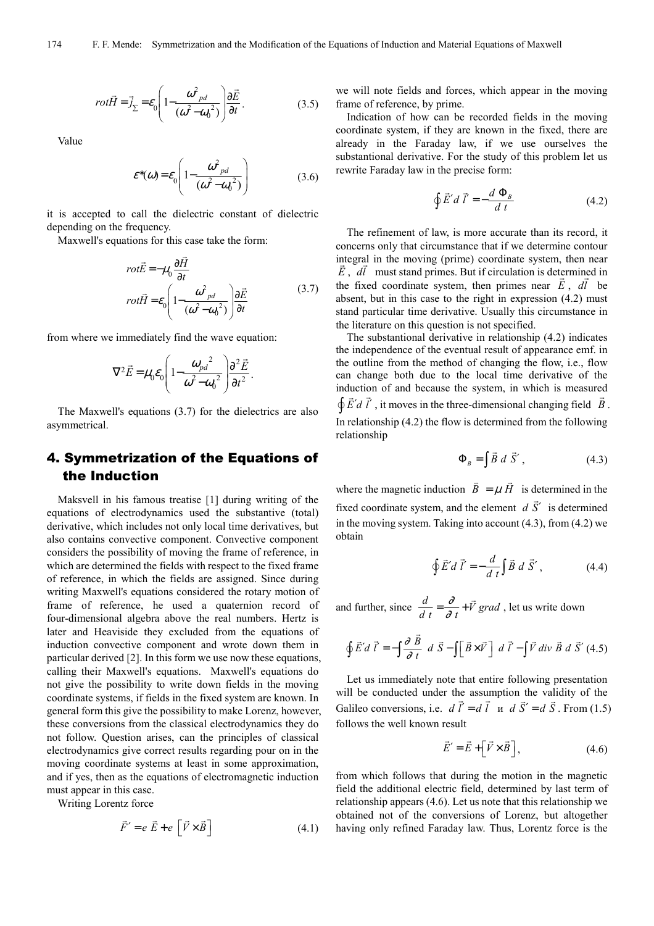$$
rot\vec{H} = \vec{j}_{\Sigma} = \varepsilon_0 \left( 1 - \frac{\omega_{pd}^2}{(\omega^2 - \omega_0^2)} \right) \frac{\partial \vec{E}}{\partial t}.
$$
 (3.5)

Value

$$
\varepsilon^*(\omega) = \varepsilon_0 \left( 1 - \frac{\omega_{pd}^2}{(\omega^2 - \omega_0^2)} \right) \tag{3.6}
$$

it is accepted to call the dielectric constant of dielectric depending on the frequency.

 $\overline{\phantom{a}}$ 

Maxwell's equations for this case take the form:

$$
rot\vec{E} = -\mu_0 \frac{\partial \vec{H}}{\partial t}
$$
  

$$
rot\vec{H} = \varepsilon_0 \left( 1 - \frac{\omega^2_{pd}}{(\omega^2 - \omega_0^2)} \right) \frac{\partial \vec{E}}{\partial t}
$$
(3.7)

from where we immediately find the wave equation:

$$
\nabla^2 \vec{E} = \mu_0 \varepsilon_0 \left( 1 - \frac{\omega_{pd}^2}{\omega^2 - \omega_0^2} \right) \frac{\partial^2 \vec{E}}{\partial t^2}.
$$

The Maxwell's equations (3.7) for the dielectrics are also asymmetrical.

# 4. Symmetrization of the Equations of the Induction

Maksvell in his famous treatise [1] during writing of the equations of electrodynamics used the substantive (total) derivative, which includes not only local time derivatives, but also contains convective component. Convective component considers the possibility of moving the frame of reference, in which are determined the fields with respect to the fixed frame of reference, in which the fields are assigned. Since during writing Maxwell's equations considered the rotary motion of frame of reference, he used a quaternion record of four-dimensional algebra above the real numbers. Hertz is later and Heaviside they excluded from the equations of induction convective component and wrote down them in particular derived [2]. In this form we use now these equations, calling their Maxwell's equations. Maxwell's equations do not give the possibility to write down fields in the moving coordinate systems, if fields in the fixed system are known. In general form this give the possibility to make Lorenz, however, these conversions from the classical electrodynamics they do not follow. Question arises, can the principles of classical electrodynamics give correct results regarding pour on in the moving coordinate systems at least in some approximation, and if yes, then as the equations of electromagnetic induction must appear in this case.

Writing Lorentz force

$$
\vec{F}' = e \vec{E} + e \left[ \vec{V} \times \vec{B} \right]
$$
 (4.1)

we will note fields and forces, which appear in the moving frame of reference, by prime.

Indication of how can be recorded fields in the moving coordinate system, if they are known in the fixed, there are already in the Faraday law, if we use ourselves the substantional derivative. For the study of this problem let us rewrite Faraday law in the precise form:

$$
\oint \vec{E}' d \vec{l}' = -\frac{d \Phi_B}{d t} \tag{4.2}
$$

The refinement of law, is more accurate than its record, it concerns only that circumstance that if we determine contour integral in the moving (prime) coordinate system, then near *E* , *dl* must stand primes. But if circulation is determined in the fixed coordinate system, then primes near  $E$ ,  $dl$  be absent, but in this case to the right in expression (4.2) must stand particular time derivative. Usually this circumstance in the literature on this question is not specified.

The substantional derivative in relationship (4.2) indicates the independence of the eventual result of appearance emf. in the outline from the method of changing the flow, i.e., flow can change both due to the local time derivative of the induction of and because the system, in which is measured  $\oint \vec{E}' d \vec{l}'$ , it moves in the three-dimensional changing field  $\vec{B}$ . In relationship (4.2) the flow is determined from the following relationship

$$
\Phi_B = \int \vec{B} \, d\, \vec{S}' \,, \tag{4.3}
$$

where the magnetic induction  $B = \mu H$  $\overline{a}$  is determined in the fixed coordinate system, and the element *d S*′  $\ddot{\phantom{0}}$  is determined in the moving system. Taking into account  $(4.3)$ , from  $(4.2)$  we obtain

$$
\oint \vec{E}' d \vec{l}' = -\frac{d}{d t} \int \vec{B} d \vec{S}', \qquad (4.4)
$$

and further, since  $\frac{d}{dt} = \frac{\partial}{\partial t} + \vec{V}$  grad  $=\frac{6}{\partial t}+$  $\overline{a}$ , let us write down

$$
\oint \vec{E}' d \vec{l}' = -\int \frac{\partial \vec{B}}{\partial t} d \vec{S} - \int \left[ \vec{B} \times \vec{V} \right] d \vec{l}' - \int \vec{V} div \vec{B} d \vec{S}' \, (4.5)
$$

Let us immediately note that entire following presentation will be conducted under the assumption the validity of the Galileo conversions, i.e.  $d l' = d l$  *u*  $d S' = d S$ . From (1.5) follows the well known result

$$
\vec{E}' = \vec{E} + \left[\vec{V} \times \vec{B}\right],\tag{4.6}
$$

from which follows that during the motion in the magnetic field the additional electric field, determined by last term of relationship appears (4.6). Let us note that this relationship we obtained not of the conversions of Lorenz, but altogether having only refined Faraday law. Thus, Lorentz force is the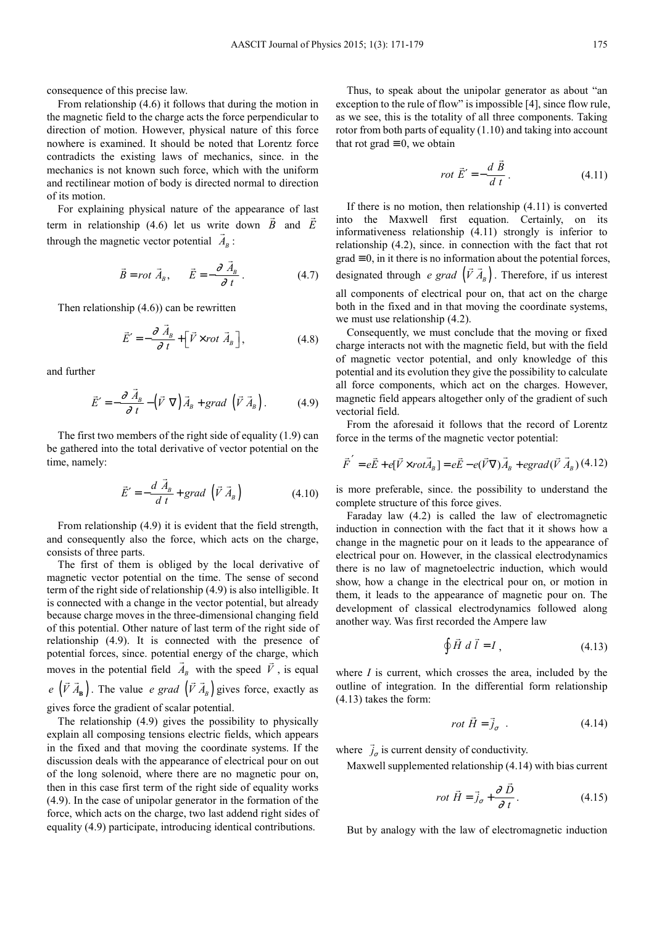From relationship (4.6) it follows that during the motion in the magnetic field to the charge acts the force perpendicular to direction of motion. However, physical nature of this force nowhere is examined. It should be noted that Lorentz force contradicts the existing laws of mechanics, since. in the mechanics is not known such force, which with the uniform and rectilinear motion of body is directed normal to direction of its motion.

For explaining physical nature of the appearance of last term in relationship (4.6) let us write down *B* and *E* through the magnetic vector potential  $A_B$ :

$$
\vec{B} = rot \ \vec{A}_B, \qquad \vec{E} = -\frac{\partial \ \vec{A}_B}{\partial t} \,. \tag{4.7}
$$

Then relationship (4.6)) can be rewritten

$$
\vec{E}' = -\frac{\partial \vec{A}_B}{\partial t} + \left[ \vec{V} \times rot \vec{A}_B \right],
$$
 (4.8)

and further

$$
\vec{E}' = -\frac{\partial \vec{A}_B}{\partial t} - (\vec{V} \nabla) \vec{A}_B + grad (\vec{V} \vec{A}_B).
$$
 (4.9)

The first two members of the right side of equality (1.9) can be gathered into the total derivative of vector potential on the time, namely:

$$
\vec{E}' = -\frac{d\vec{A}_B}{d\,t} + \operatorname{grad}\left(\vec{V}\,\vec{A}_B\right) \tag{4.10}
$$

From relationship (4.9) it is evident that the field strength, and consequently also the force, which acts on the charge, consists of three parts.

The first of them is obliged by the local derivative of magnetic vector potential on the time. The sense of second term of the right side of relationship (4.9) is also intelligible. It is connected with a change in the vector potential, but already because charge moves in the three-dimensional changing field of this potential. Other nature of last term of the right side of relationship (4.9). It is connected with the presence of potential forces, since. potential energy of the charge, which moves in the potential field  $A_B$  with the speed *V* !!<br>→ , is equal  $e \left( V A_{\rm B} \right)$ . The value *e grad*  $\left( V A_{\rm B} \right)$  gives force, exactly as  $\begin{array}{ccc} & & & & & \text{if } & & \text{if } & \text{if } & \text{if } & \text{if } & \text{if } & \text{if } & \text{if } & \text{if } & \text{if } & \text{if } & \text{if } & \text{if } & \text{if } & \text{if } & \text{if } & \text{if } & \text{if } & \text{if } & \text{if } & \text{if } & \text{if } & \text{if } & \text{if } & \text{if } & \text{if } & \text{if } & \text{if } & \text{if } & \text{if } & \text{if } & \text{if } & \text{if } & \text{if } & \text{$ 

gives force the gradient of scalar potential.

The relationship (4.9) gives the possibility to physically explain all composing tensions electric fields, which appears in the fixed and that moving the coordinate systems. If the discussion deals with the appearance of electrical pour on out of the long solenoid, where there are no magnetic pour on, then in this case first term of the right side of equality works (4.9). In the case of unipolar generator in the formation of the force, which acts on the charge, two last addend right sides of equality (4.9) participate, introducing identical contributions.

Thus, to speak about the unipolar generator as about "an exception to the rule of flow" is impossible [4], since flow rule, as we see, this is the totality of all three components. Taking rotor from both parts of equality (1.10) and taking into account that rot grad  $\equiv 0$ , we obtain

$$
rot \vec{E}' = -\frac{d \vec{B}}{d t}.
$$
\n(4.11)

If there is no motion, then relationship (4.11) is converted into the Maxwell first equation. Certainly, on its informativeness relationship (4.11) strongly is inferior to relationship (4.2), since. in connection with the fact that rot  $grad \equiv 0$ , in it there is no information about the potential forces, designated through *e grad*  $(V A<sub>B</sub>)$ . Therefore, if us interest all components of electrical pour on, that act on the charge both in the fixed and in that moving the coordinate systems, we must use relationship (4.2).

Consequently, we must conclude that the moving or fixed charge interacts not with the magnetic field, but with the field of magnetic vector potential, and only knowledge of this potential and its evolution they give the possibility to calculate all force components, which act on the charges. However, magnetic field appears altogether only of the gradient of such vectorial field.

From the aforesaid it follows that the record of Lorentz force in the terms of the magnetic vector potential:

$$
\vec{F}' = e\vec{E} + e[\vec{V} \times rot\vec{A}_B] = e\vec{E} - e(\vec{V}\nabla)\vec{A}_B + egrad(\vec{V}\vec{A}_B) (4.12)
$$

is more preferable, since. the possibility to understand the complete structure of this force gives.

Faraday law (4.2) is called the law of electromagnetic induction in connection with the fact that it it shows how a change in the magnetic pour on it leads to the appearance of electrical pour on. However, in the classical electrodynamics there is no law of magnetoelectric induction, which would show, how a change in the electrical pour on, or motion in them, it leads to the appearance of magnetic pour on. The development of classical electrodynamics followed along another way. Was first recorded the Ampere law

$$
\oint \vec{H} \ d\vec{l} = I \,, \tag{4.13}
$$

where *I* is current, which crosses the area, included by the outline of integration. In the differential form relationship (4.13) takes the form:

$$
rot \vec{H} = \vec{j}_{\sigma} \quad . \tag{4.14}
$$

where  $\vec{j}_{\sigma}$  $\overline{a}$ is current density of conductivity.

Maxwell supplemented relationship (4.14) with bias current

$$
rot \ \vec{H} = \vec{j}_{\sigma} + \frac{\partial \ \vec{D}}{\partial \ t} \,. \tag{4.15}
$$

But by analogy with the law of electromagnetic induction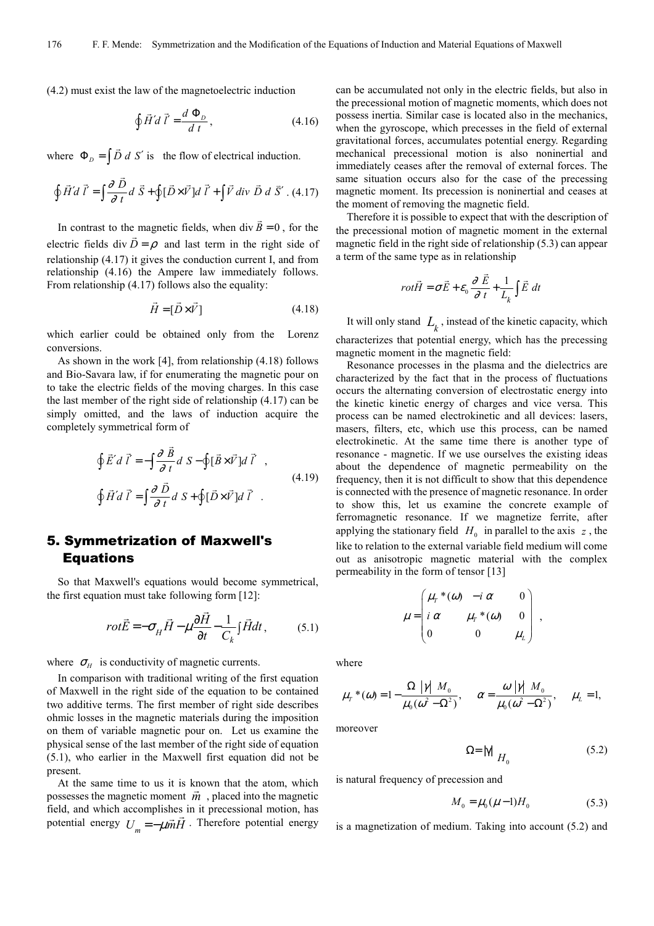(4.2) must exist the law of the magnetoelectric induction

$$
\oint \vec{H}' d \vec{l}' = \frac{d \Phi_D}{d t},\tag{4.16}
$$

where  $\Phi_D = \int \vec{D} \, dS'$ is the flow of electrical induction.

$$
\oint \vec{H}' d \vec{l}' = \int \frac{\partial \vec{D}}{\partial t} d \vec{S} + \oint [\vec{D} \times \vec{V}] d \vec{l}' + \int \vec{V} \, div \vec{D} \, d \vec{S}'. \tag{4.17}
$$

In contrast to the magnetic fields, when div  $B = 0$ magnetic fields, when div  $B = 0$ , for the electric fields div  $D = \rho$  and last term in the right side of relationship (4.17) it gives the conduction current I, and from relationship (4.16) the Ampere law immediately follows. From relationship (4.17) follows also the equality:

$$
\vec{H} = [\vec{D} \times \vec{V}] \tag{4.18}
$$

 $\overline{a}$ 

which earlier could be obtained only from the Lorenz conversions.

As shown in the work [4], from relationship (4.18) follows and Bio-Savara law, if for enumerating the magnetic pour on to take the electric fields of the moving charges. In this case the last member of the right side of relationship (4.17) can be simply omitted, and the laws of induction acquire the completely symmetrical form of

$$
\oint \vec{E}' d \vec{l}' = -\int \frac{\partial \vec{B}}{\partial t} dS - \oint [\vec{B} \times \vec{V}] d \vec{l}',
$$
\n
$$
\oint \vec{H}' d \vec{l}' = \int \frac{\partial \vec{D}}{\partial t} dS + \oint [\vec{D} \times \vec{V}] d \vec{l}',
$$
\n(4.19)

## 5. Symmetrization of Maxwell's Equations

So that Maxwell's equations would become symmetrical, the first equation must take following form [12]:

$$
rot\vec{E} = -\sigma_H \vec{H} - \mu \frac{\partial \vec{H}}{\partial t} - \frac{1}{C_k} \int \vec{H} dt, \qquad (5.1)
$$

 $\rightarrow$ 

where  $\sigma_H$  is conductivity of magnetic currents.

In comparison with traditional writing of the first equation of Maxwell in the right side of the equation to be contained two additive terms. The first member of right side describes ohmic losses in the magnetic materials during the imposition on them of variable magnetic pour on. Let us examine the physical sense of the last member of the right side of equation (5.1), who earlier in the Maxwell first equation did not be present.

At the same time to us it is known that the atom, which possesses the magnetic moment  $\vec{m}$ , placed into the magnetic field, and which accomplishes in it precessional motion, has notational approximation of  $\vec{H}$ . Therefore, notation approximation potential energy  $U_m = -\mu \vec{m} \vec{H}$ . Therefore potential energy can be accumulated not only in the electric fields, but also in the precessional motion of magnetic moments, which does not possess inertia. Similar case is located also in the mechanics, when the gyroscope, which precesses in the field of external gravitational forces, accumulates potential energy. Regarding mechanical precessional motion is also noninertial and immediately ceases after the removal of external forces. The same situation occurs also for the case of the precessing magnetic moment. Its precession is noninertial and ceases at the moment of removing the magnetic field.

Therefore it is possible to expect that with the description of the precessional motion of magnetic moment in the external magnetic field in the right side of relationship (5.3) can appear a term of the same type as in relationship

$$
rot\vec{H} = \sigma \vec{E} + \varepsilon_0 \frac{\partial \vec{E}}{\partial t} + \frac{1}{L_k} \int \vec{E} dt
$$

It will only stand  $L_k$ , instead of the kinetic capacity, which characterizes that potential energy, which has the precessing magnetic moment in the magnetic field:

Resonance processes in the plasma and the dielectrics are characterized by the fact that in the process of fluctuations occurs the alternating conversion of electrostatic energy into the kinetic kinetic energy of charges and vice versa. This process can be named electrokinetic and all devices: lasers, masers, filters, etc, which use this process, can be named electrokinetic. At the same time there is another type of resonance - magnetic. If we use ourselves the existing ideas about the dependence of magnetic permeability on the frequency, then it is not difficult to show that this dependence is connected with the presence of magnetic resonance. In order to show this, let us examine the concrete example of ferromagnetic resonance. If we magnetize ferrite, after applying the stationary field  $H_0$  in parallel to the axis  $z$ , the like to relation to the external variable field medium will come out as anisotropic magnetic material with the complex permeability in the form of tensor [13]

$$
\mu = \begin{pmatrix} \mu_{\scriptscriptstyle T} * (\omega) & -i \alpha & 0 \\ i \alpha & \mu_{\scriptscriptstyle T} * (\omega) & 0 \\ 0 & 0 & \mu_{\scriptscriptstyle L} \end{pmatrix} ,
$$

where

$$
\mu_{\Gamma} * (\omega) = 1 - \frac{\Omega \, |\gamma| \, M_0}{\mu_0 (\omega^2 - \Omega^2)}, \quad \alpha = \frac{\omega \, |\gamma| \, M_0}{\mu_0 (\omega^2 - \Omega^2)}, \quad \mu_{\Gamma} = 1,
$$

moreover

$$
\Omega = |\gamma| \, H_0 \tag{5.2}
$$

is natural frequency of precession and

$$
M_0 = \mu_0 (\mu - 1) H_0 \tag{5.3}
$$

is a magnetization of medium. Taking into account (5.2) and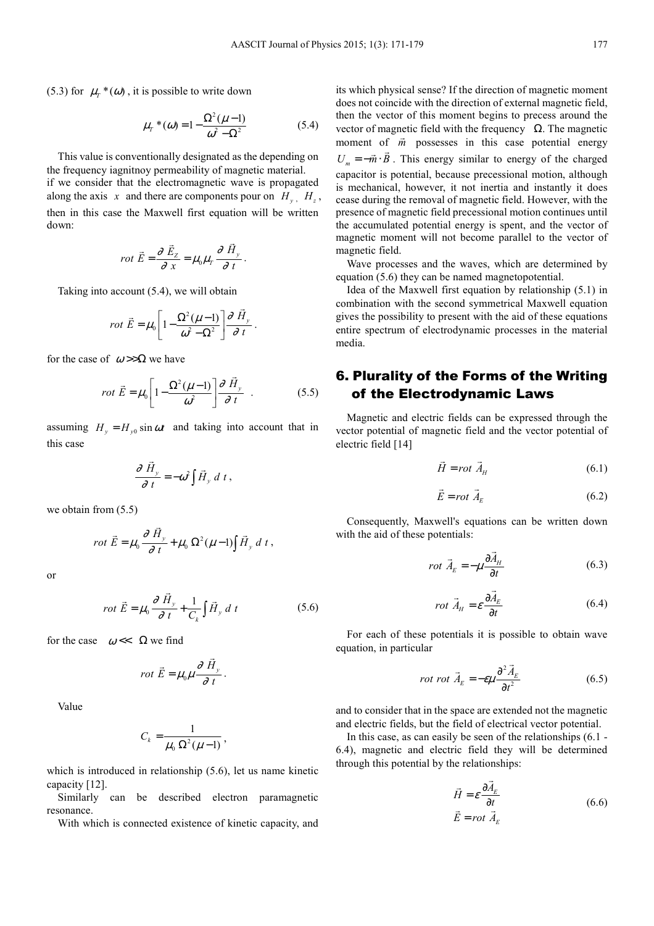(5.3) for  $\mu_r^*(\omega)$ , it is possible to write down

$$
\mu_r^*(\omega) = 1 - \frac{\Omega^2(\mu - 1)}{\omega^2 - \Omega^2}
$$
 (5.4)

This value is conventionally designated as the depending on the frequency iagnitnoy permeability of magnetic material. if we consider that the electromagnetic wave is propagated along the axis *x* and there are components pour on  $H_y$ ,  $H_z$ , then in this case the Maxwell first equation will be written down:

$$
rot \vec{E} = \frac{\partial \vec{E}_z}{\partial x} = \mu_0 \mu_r \frac{\partial \vec{H}_y}{\partial t}.
$$

Taking into account (5.4), we will obtain

$$
rot\ \vec{E} = \mu_0 \left[ 1 - \frac{\Omega^2 (\mu - 1)}{\omega^2 - \Omega^2} \right] \frac{\partial \ \vec{H}_y}{\partial \ t} \ .
$$

for the case of  $\omega >> \Omega$  we have

$$
rot\ \vec{E} = \mu_0 \left[ 1 - \frac{\Omega^2 (\mu - 1)}{\omega^2} \right] \frac{\partial \vec{H}_y}{\partial t} \quad . \tag{5.5}
$$

assuming  $H_y = H_{y0} \sin \omega t$  and taking into account that in this case

$$
\frac{\partial \vec{H}_y}{\partial t} = -\omega^2 \int \vec{H}_y \, dt \, t \, ,
$$

we obtain from (5.5)

$$
rot \vec{E} = \mu_0 \frac{\partial \vec{H}_y}{\partial t} + \mu_0 \Omega^2 (\mu - 1) \int \vec{H}_y \, dt \, ,
$$

or

$$
rot\ \vec{E} = \mu_0 \frac{\partial \vec{H}_y}{\partial t} + \frac{1}{C_k} \int \vec{H}_y \, dt \tag{5.6}
$$

for the case  $\omega \ll \Omega$  we find

$$
rot \vec{E} = \mu_0 \mu \frac{\partial \vec{H}_y}{\partial t}.
$$

Value

$$
C_k = \frac{1}{\mu_0 \Omega^2 (\mu - 1)},
$$

which is introduced in relationship  $(5.6)$ , let us name kinetic capacity [12].

Similarly can be described electron paramagnetic resonance.

With which is connected existence of kinetic capacity, and

its which physical sense? If the direction of magnetic moment does not coincide with the direction of external magnetic field, then the vector of this moment begins to precess around the vector of magnetic field with the frequency  $\Omega$ . The magnetic moment of *m* possesses in this case potential energy  $U_m = -\vec{m} \cdot \vec{B}$  $\vec{n} \cdot \vec{B}$ . This energy similar to energy of the charged capacitor is potential, because precessional motion, although is mechanical, however, it not inertia and instantly it does cease during the removal of magnetic field. However, with the presence of magnetic field precessional motion continues until the accumulated potential energy is spent, and the vector of magnetic moment will not become parallel to the vector of magnetic field.

Wave processes and the waves, which are determined by equation (5.6) they can be named magnetopotential.

Idea of the Maxwell first equation by relationship (5.1) in combination with the second symmetrical Maxwell equation gives the possibility to present with the aid of these equations entire spectrum of electrodynamic processes in the material media.

## 6. Plurality of the Forms of the Writing of the Electrodynamic Laws

Magnetic and electric fields can be expressed through the vector potential of magnetic field and the vector potential of electric field [14]

$$
\vec{H} = rot \vec{A}_{H}
$$
 (6.1)

$$
\vec{E} = rot \vec{A}_E \tag{6.2}
$$

Consequently, Maxwell's equations can be written down with the aid of these potentials:

$$
rot \vec{A}_E = -\mu \frac{\partial \vec{A}_H}{\partial t}
$$
 (6.3)

$$
rot \vec{A}_H = \varepsilon \frac{\partial \vec{A}_E}{\partial t}
$$
 (6.4)

For each of these potentials it is possible to obtain wave equation, in particular

$$
rot rot \vec{A}_E = -\varepsilon \mu \frac{\partial^2 \vec{A}_E}{\partial t^2}
$$
 (6.5)

and to consider that in the space are extended not the magnetic and electric fields, but the field of electrical vector potential.

In this case, as can easily be seen of the relationships (6.1 - 6.4), magnetic and electric field they will be determined through this potential by the relationships:

$$
\vec{H} = \varepsilon \frac{\partial \vec{A}_E}{\partial t}
$$
\n
$$
\vec{E} = rot \vec{A}_E
$$
\n(6.6)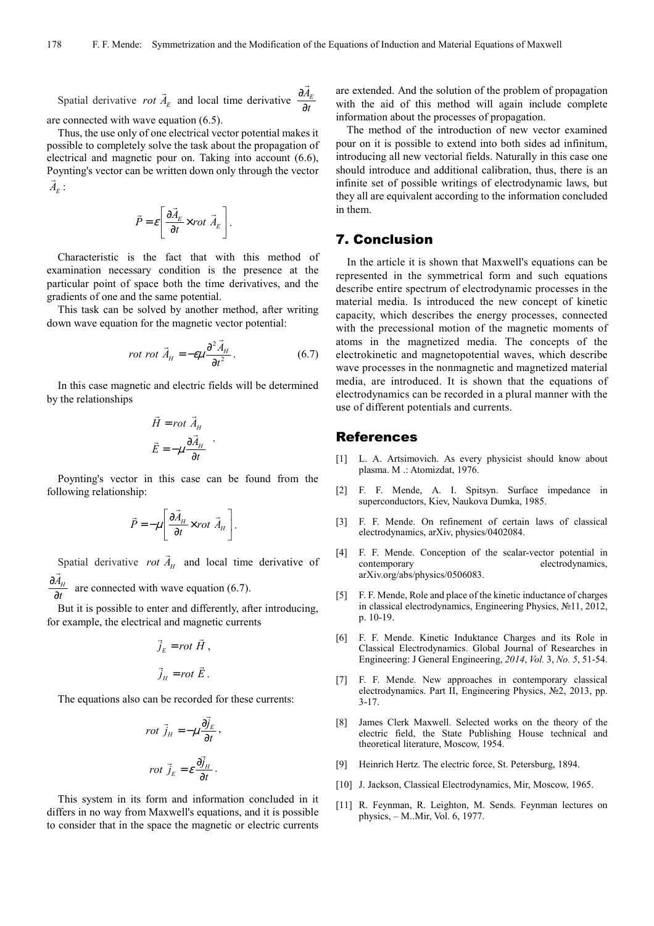$\overline{a}$ 

Spatial derivative *rot*  $A_E$  $\vec{A}_E$  and local time derivative  $\frac{\partial \vec{A}_E}{\partial t}$ ∂ ∂

are connected with wave equation (6.5).

Thus, the use only of one electrical vector potential makes it possible to completely solve the task about the propagation of electrical and magnetic pour on. Taking into account (6.6), Poynting's vector can be written down only through the vector  $A_E$  :

$$
\vec{P} = \varepsilon \left[ \frac{\partial \vec{A}_E}{\partial t} \times rot \vec{A}_E \right].
$$

Characteristic is the fact that with this method of examination necessary condition is the presence at the particular point of space both the time derivatives, and the gradients of one and the same potential.

This task can be solved by another method, after writing down wave equation for the magnetic vector potential:

$$
rot\ \vec{A}_H = -\varepsilon\mu \frac{\partial^2 \vec{A}_H}{\partial t^2}.
$$
 (6.7)

In this case magnetic and electric fields will be determined by the relationships

$$
\vec{H} = rot \vec{A}_{H}
$$

$$
\vec{E} = -\mu \frac{\partial \vec{A}_{H}}{\partial t}
$$

Poynting's vector in this case can be found from the following relationship:

$$
\vec{P} = -\mu \left[ \frac{\partial \vec{A}_H}{\partial t} \times rot \vec{A}_H \right].
$$

Spatial derivative *rot*  $A$ <sup>*H*</sup>  $\overline{\phantom{a}}$ Spatial derivative *rot*  $A_H$  and local time derivative of *AH* ∂

*t*  $rac{d^{2}H}{dt}$  are connected with wave equation (6.7).

But it is possible to enter and differently, after introducing, for example, the electrical and magnetic currents

$$
\vec{j}_E = rot \vec{H},
$$
  

$$
\vec{j}_H = rot \vec{E}.
$$

The equations also can be recorded for these currents:

$$
rot \vec{j}_H = -\mu \frac{\partial \vec{j}_E}{\partial t},
$$
  

$$
rot \vec{j}_E = \varepsilon \frac{\partial \vec{j}_H}{\partial t}.
$$

This system in its form and information concluded in it differs in no way from Maxwell's equations, and it is possible to consider that in the space the magnetic or electric currents are extended. And the solution of the problem of propagation with the aid of this method will again include complete information about the processes of propagation.

The method of the introduction of new vector examined pour on it is possible to extend into both sides ad infinitum, introducing all new vectorial fields. Naturally in this case one should introduce and additional calibration, thus, there is an infinite set of possible writings of electrodynamic laws, but they all are equivalent according to the information concluded in them.

## 7. Conclusion

In the article it is shown that Maxwell's equations can be represented in the symmetrical form and such equations describe entire spectrum of electrodynamic processes in the material media. Is introduced the new concept of kinetic capacity, which describes the energy processes, connected with the precessional motion of the magnetic moments of atoms in the magnetized media. The concepts of the electrokinetic and magnetopotential waves, which describe wave processes in the nonmagnetic and magnetized material media, are introduced. It is shown that the equations of electrodynamics can be recorded in a plural manner with the use of different potentials and currents.

#### References

- [1] L. A. Artsimovich. As every physicist should know about plasma. M .: Atomizdat, 1976.
- [2] F. F. Mende, A. I. Spitsyn. Surface impedance in superconductors, Kiev, Naukova Dumka, 1985.
- [3] F. F. Mende. On refinement of certain laws of classical electrodynamics, arXiv, physics/0402084.
- [4] F. F. Mende. Conception of the scalar-vector potential in electrodynamics, arXiv.org/abs/physics/0506083.
- [5] F. F. Mende, Role and place of the kinetic inductance of charges in classical electrodynamics, Engineering Physics, №11, 2012, p. 10-19.
- [6] F. F. Mende. Kinetic Induktance Charges and its Role in Classical Electrodynamics. Global Journal of Researches in Engineering: J General Engineering, *2014*, *Vol.* 3, *No. 5*, 51-54.
- [7] F. F. Mende. New approaches in contemporary classical electrodynamics. Part II, Engineering Physics, №2, 2013, pp. 3-17.
- [8] James Clerk Maxwell. Selected works on the theory of the electric field, the State Publishing House technical and theoretical literature, Moscow, 1954.
- [9] Heinrich Hertz. The electric force, St. Petersburg, 1894.
- [10] J. Jackson, Classical Electrodynamics, Mir, Moscow, 1965.
- [11] R. Feynman, R. Leighton, M. Sends. Feynman lectures on physics, – М..Mir, Vol. 6, 1977.